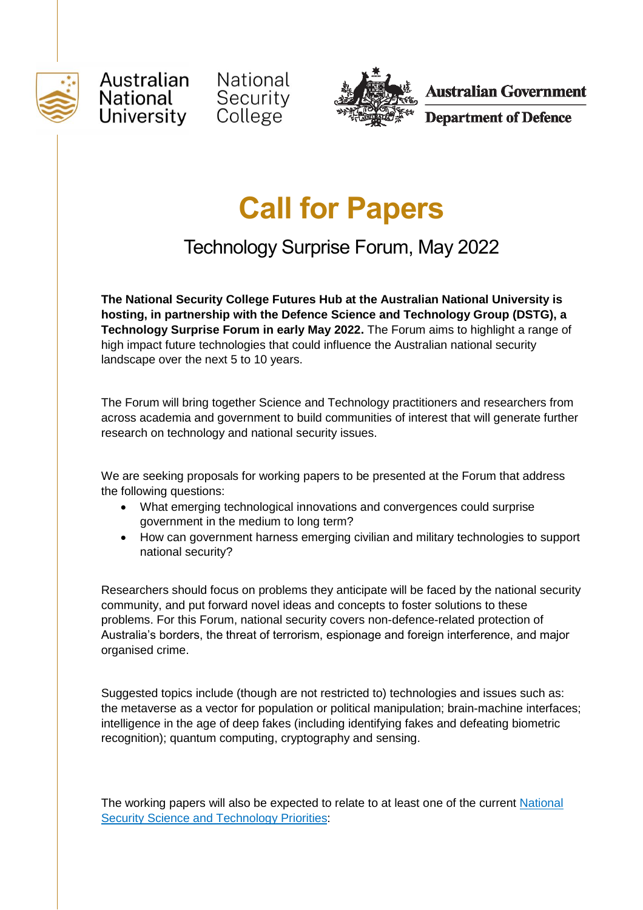





**Australian Government** 

**Department of Defence** 

## **Call for Papers**

Technology Surprise Forum, May 2022

**The National Security College Futures Hub at the Australian National University is hosting, in partnership with the Defence Science and Technology Group (DSTG), a Technology Surprise Forum in early May 2022.** The Forum aims to highlight a range of high impact future technologies that could influence the Australian national security landscape over the next 5 to 10 years.

The Forum will bring together Science and Technology practitioners and researchers from across academia and government to build communities of interest that will generate further research on technology and national security issues.

We are seeking proposals for working papers to be presented at the Forum that address the following questions:

- What emerging technological innovations and convergences could surprise government in the medium to long term?
- How can government harness emerging civilian and military technologies to support national security?

Researchers should focus on problems they anticipate will be faced by the national security community, and put forward novel ideas and concepts to foster solutions to these problems. For this Forum, national security covers non-defence-related protection of Australia's borders, the threat of terrorism, espionage and foreign interference, and major organised crime.

Suggested topics include (though are not restricted to) technologies and issues such as: the metaverse as a vector for population or political manipulation; brain-machine interfaces; intelligence in the age of deep fakes (including identifying fakes and defeating biometric recognition); quantum computing, cryptography and sensing.

The working papers will also be expected to relate to at least one of the current National [Security Science and Technology Priorities:](https://www.dst.defence.gov.au/sites/default/files/research_facilities/documents/National%20Security%20Science%20and%20Technology%20Priorities_0.pdf)